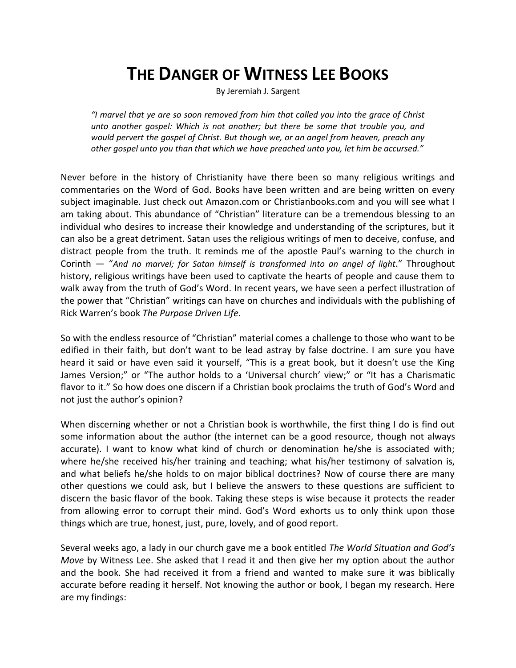# **THE DANGER OF WITNESS LEE BOOKS**

By Jeremiah J. Sargent

*"I marvel that ye are so soon removed from him that called you into the grace of Christ unto another gospel: Which is not another; but there be some that trouble you, and would pervert the gospel of Christ. But though we, or an angel from heaven, preach any other gospel unto you than that which we have preached unto you, let him be accursed."*

Never before in the history of Christianity have there been so many religious writings and commentaries on the Word of God. Books have been written and are being written on every subject imaginable. Just check out Amazon.com or Christianbooks.com and you will see what I am taking about. This abundance of "Christian" literature can be a tremendous blessing to an individual who desires to increase their knowledge and understanding of the scriptures, but it can also be a great detriment. Satan uses the religious writings of men to deceive, confuse, and distract people from the truth. It reminds me of the apostle Paul's warning to the church in Corinth — "*And no marvel; for Satan himself is transformed into an angel of light*." Throughout history, religious writings have been used to captivate the hearts of people and cause them to walk away from the truth of God's Word. In recent years, we have seen a perfect illustration of the power that "Christian" writings can have on churches and individuals with the publishing of Rick Warren's book *The Purpose Driven Life*.

So with the endless resource of "Christian" material comes a challenge to those who want to be edified in their faith, but don't want to be lead astray by false doctrine. I am sure you have heard it said or have even said it yourself, "This is a great book, but it doesn't use the King James Version;" or "The author holds to a 'Universal church' view;" or "It has a Charismatic flavor to it." So how does one discern if a Christian book proclaims the truth of God's Word and not just the author's opinion?

When discerning whether or not a Christian book is worthwhile, the first thing I do is find out some information about the author (the internet can be a good resource, though not always accurate). I want to know what kind of church or denomination he/she is associated with; where he/she received his/her training and teaching; what his/her testimony of salvation is, and what beliefs he/she holds to on major biblical doctrines? Now of course there are many other questions we could ask, but I believe the answers to these questions are sufficient to discern the basic flavor of the book. Taking these steps is wise because it protects the reader from allowing error to corrupt their mind. God's Word exhorts us to only think upon those things which are true, honest, just, pure, lovely, and of good report.

Several weeks ago, a lady in our church gave me a book entitled *The World Situation and God's Move* by Witness Lee. She asked that I read it and then give her my option about the author and the book. She had received it from a friend and wanted to make sure it was biblically accurate before reading it herself. Not knowing the author or book, I began my research. Here are my findings: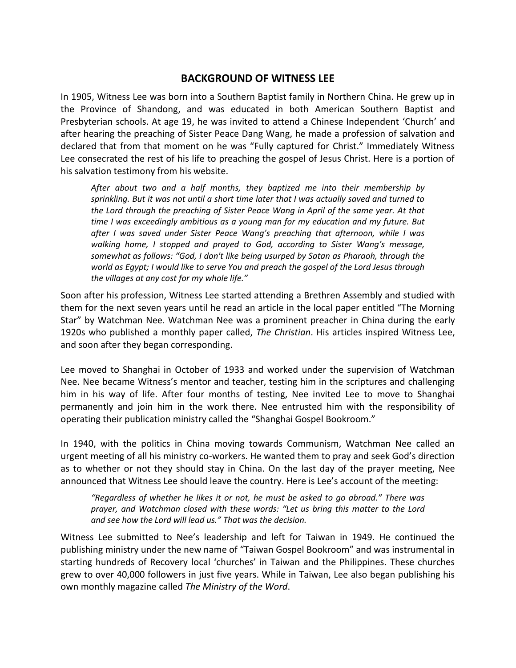# **BACKGROUND OF WITNESS LEE**

In 1905, Witness Lee was born into a Southern Baptist family in Northern China. He grew up in the Province of Shandong, and was educated in both American Southern Baptist and Presbyterian schools. At age 19, he was invited to attend a Chinese Independent 'Church' and after hearing the preaching of Sister Peace Dang Wang, he made a profession of salvation and declared that from that moment on he was "Fully captured for Christ." Immediately Witness Lee consecrated the rest of his life to preaching the gospel of Jesus Christ. Here is a portion of his salvation testimony from his website.

*After about two and a half months, they baptized me into their membership by sprinkling. But it was not until a short time later that I was actually saved and turned to the Lord through the preaching of Sister Peace Wang in April of the same year. At that time I was exceedingly ambitious as a young man for my education and my future. But after I was saved under Sister Peace Wang's preaching that afternoon, while I was walking home, I stopped and prayed to God, according to Sister Wang's message, somewhat as follows: "God, I don't like being usurped by Satan as Pharaoh, through the world as Egypt; I would like to serve You and preach the gospel of the Lord Jesus through the villages at any cost for my whole life."*

Soon after his profession, Witness Lee started attending a Brethren Assembly and studied with them for the next seven years until he read an article in the local paper entitled "The Morning Star" by Watchman Nee. Watchman Nee was a prominent preacher in China during the early 1920s who published a monthly paper called, *The Christian*. His articles inspired Witness Lee, and soon after they began corresponding.

Lee moved to Shanghai in October of 1933 and worked under the supervision of Watchman Nee. Nee became Witness's mentor and teacher, testing him in the scriptures and challenging him in his way of life. After four months of testing, Nee invited Lee to move to Shanghai permanently and join him in the work there. Nee entrusted him with the responsibility of operating their publication ministry called the "Shanghai Gospel Bookroom."

In 1940, with the politics in China moving towards Communism, Watchman Nee called an urgent meeting of all his ministry co-workers. He wanted them to pray and seek God's direction as to whether or not they should stay in China. On the last day of the prayer meeting, Nee announced that Witness Lee should leave the country. Here is Lee's account of the meeting:

*"Regardless of whether he likes it or not, he must be asked to go abroad." There was prayer, and Watchman closed with these words: "Let us bring this matter to the Lord and see how the Lord will lead us." That was the decision.*

Witness Lee submitted to Nee's leadership and left for Taiwan in 1949. He continued the publishing ministry under the new name of "Taiwan Gospel Bookroom" and was instrumental in starting hundreds of Recovery local 'churches' in Taiwan and the Philippines. These churches grew to over 40,000 followers in just five years. While in Taiwan, Lee also began publishing his own monthly magazine called *The Ministry of the Word*.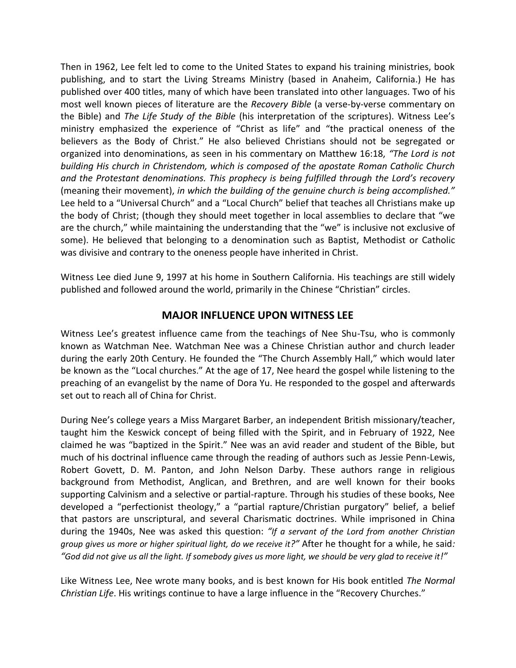Then in 1962, Lee felt led to come to the United States to expand his training ministries, book publishing, and to start the Living Streams Ministry (based in Anaheim, California.) He has published over 400 titles, many of which have been translated into other languages. Two of his most well known pieces of literature are the *Recovery Bible* (a verse-by-verse commentary on the Bible) and *The Life Study of the Bible* (his interpretation of the scriptures). Witness Lee's ministry emphasized the experience of "Christ as life" and "the practical oneness of the believers as the Body of Christ." He also believed Christians should not be segregated or organized into denominations, as seen in his commentary on Matthew 16:18, *"The Lord is not building His church in Christendom, which is composed of the apostate Roman Catholic Church and the Protestant denominations. This prophecy is being fulfilled through the Lord's recovery* (meaning their movement), *in which the building of the genuine church is being accomplished."*  Lee held to a "Universal Church" and a "Local Church" belief that teaches all Christians make up the body of Christ; (though they should meet together in local assemblies to declare that "we are the church," while maintaining the understanding that the "we" is inclusive not exclusive of some). He believed that belonging to a denomination such as Baptist, Methodist or Catholic was divisive and contrary to the oneness people have inherited in Christ.

Witness Lee died June 9, 1997 at his home in Southern California. His teachings are still widely published and followed around the world, primarily in the Chinese "Christian" circles.

# **MAJOR INFLUENCE UPON WITNESS LEE**

Witness Lee's greatest influence came from the teachings of Nee Shu-Tsu, who is commonly known as Watchman Nee. Watchman Nee was a Chinese [Christian](http://en.wikipedia.org/wiki/Christian) author and church leader during the early 20th Century. He founded the "[The Church Assembly Hall](http://en.wikipedia.org/wiki/Chinese_Independent_Churches#The_Church_Assembly_Hall_.28.E8.81.9A.E6.9C.83.E6.89.80.29)," which would later be known as the "[Local churches](http://en.wikipedia.org/wiki/Local_churches)." At the age of 17, Nee heard the gospel while listening to the preaching of an evangelist by the name of [Dora Yu.](http://en.wikipedia.org/w/index.php?title=Dora_Yu&action=edit&redlink=1) He responded to the gospel and afterwards set out to reach all of China for Christ.

During Nee's college years a Miss Margaret Barber, an independent [British](http://en.wikipedia.org/wiki/United_Kingdom) missionary/teacher, taught him the Keswick concept of being filled with the Spirit, and in February of 1922, Nee claimed he was "baptized in the Spirit." Nee was an avid reader and student of the Bible, but much of his doctrinal influence came through the reading of authors such as [Jessie Penn-Lewis,](http://en.wikipedia.org/wiki/Jessie_Penn-Lewis) [Robert Govett,](http://en.wikipedia.org/wiki/Robert_Govett) [D. M. Panton,](http://en.wikipedia.org/wiki/David_Morrieson_Panton) and [John Nelson Darby.](http://en.wikipedia.org/wiki/John_Nelson_Darby) These authors range in religious background from Methodist, Anglican, and Brethren, and are well known for their books supporting Calvinism and a selective or partial-rapture. Through his studies of these books, Nee developed a "perfectionist theology," a "partial rapture/Christian purgatory" belief, a belief that pastors are unscriptural, and several Charismatic doctrines. While imprisoned in China during the 1940s, Nee was asked this question: *"If a servant of the Lord from another Christian group gives us more or higher spiritual light, do we receive it?"* After he thought for a while, he said*: "God did not give us all the light. If somebody gives us more light, we should be very glad to receive it!"*

Like Witness Lee, Nee wrote many books, and is best known for His book entitled *The Normal Christian Life*. His writings continue to have a large influence in the "Recovery Churches."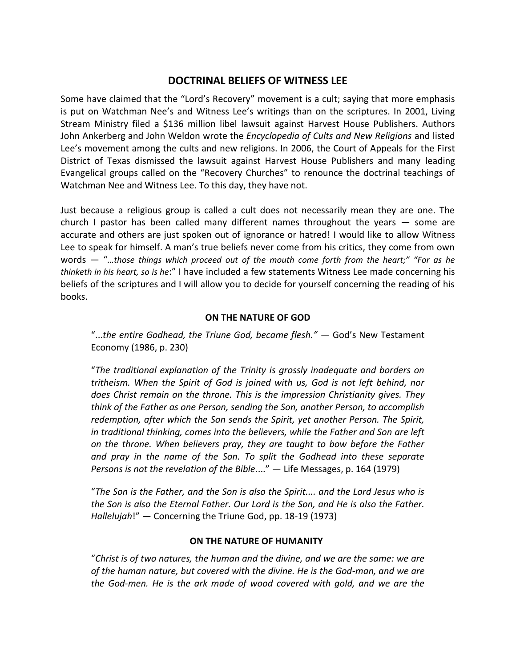# **DOCTRINAL BELIEFS OF WITNESS LEE**

Some have claimed that the "Lord's Recovery" movement is a cult; saying that more emphasis is put on Watchman Nee's and Witness Lee's writings than on the scriptures. In 2001, Living Stream Ministry filed a \$136 million libel lawsuit against Harvest House Publishers. Authors [John Ankerberg](http://www.apologeticsindex.org/a50.html) and [John Weldon](http://www.apologeticsindex.org/w00.html#weldon) wrote the *[Encyclopedia of Cults and New Religions](http://www.amazon.com/dp/0736900748/ref=nosim?tag=christianministr&link_code=as3&creativeASIN=0736900748&creative=373489&camp=211189)* and listed Lee's movement among the cults and new religions. In 2006, the Court of Appeals for the First District of Texas dismissed the lawsuit against Harvest House Publishers and many leading Evangelical groups called on the "Recovery Churches" to renounce the doctrinal teachings of Watchman Nee and Witness Lee. To this day, they have not.

Just because a religious group is called a cult does not necessarily mean they are one. The church I pastor has been called many different names throughout the years  $-$  some are accurate and others are just spoken out of ignorance or hatred! I would like to allow Witness Lee to speak for himself. A man's true beliefs never come from his critics, they come from own words — "*…those things which proceed out of the mouth come forth from the heart;" "For as he thinketh in his heart, so is he*:" I have included a few statements Witness Lee made concerning his beliefs of the scriptures and I will allow you to decide for yourself concerning the reading of his books.

## **ON THE NATURE OF GOD**

"...*the entire Godhead, the Triune God, became flesh."* — God's New Testament Economy (1986, p. 230)

"*The traditional explanation of the Trinity is grossly inadequate and borders on tritheism. When the Spirit of God is joined with us, God is not left behind, nor does Christ remain on the throne. This is the impression Christianity gives. They think of the Father as one Person, sending the Son, another Person, to accomplish redemption, after which the Son sends the Spirit, yet another Person. The Spirit, in traditional thinking, comes into the believers, while the Father and Son are left on the throne. When believers pray, they are taught to bow before the Father and pray in the name of the Son. To split the Godhead into these separate Persons is not the revelation of the Bible*...." — Life Messages, p. 164 (1979)

"*The Son is the Father, and the Son is also the Spirit.... and the Lord Jesus who is the Son is also the Eternal Father. Our Lord is the Son, and He is also the Father. Hallelujah*!" — Concerning the Triune God, pp. 18-19 (1973)

## **ON THE NATURE OF HUMANITY**

"*Christ is of two natures, the human and the divine, and we are the same: we are of the human nature, but covered with the divine. He is the God-man, and we are the God-men. He is the ark made of wood covered with gold, and we are the*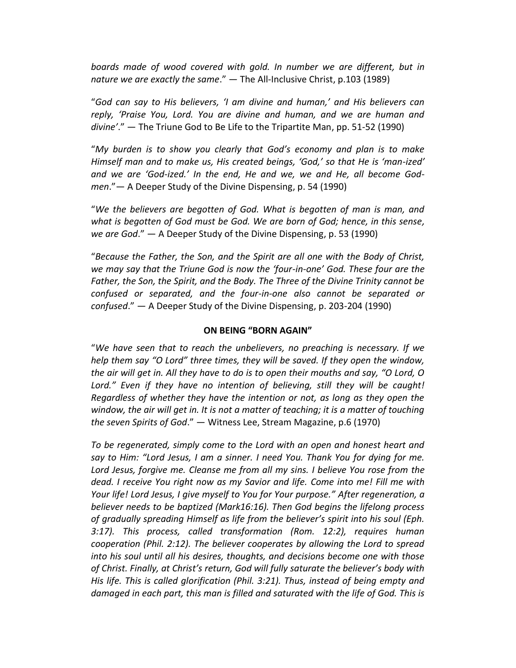*boards made of wood covered with gold. In number we are different, but in nature we are exactly the same*." — The All-Inclusive Christ, p.103 (1989)

"*God can say to His believers, 'I am divine and human,' and His believers can reply, 'Praise You, Lord. You are divine and human, and we are human and divine'*." — The Triune God to Be Life to the Tripartite Man, pp. 51-52 (1990)

"*My burden is to show you clearly that God's economy and plan is to make Himself man and to make us, His created beings, 'God,' so that He is 'man-ized' and we are 'God-ized.' In the end, He and we, we and He, all become Godmen*."— A Deeper Study of the Divine Dispensing, p. 54 (1990)

"*We the believers are begotten of God. What is begotten of man is man, and what is begotten of God must be God. We are born of God; hence, in this sense, we are God*." — A Deeper Study of the Divine Dispensing, p. 53 (1990)

"*Because the Father, the Son, and the Spirit are all one with the Body of Christ, we may say that the Triune God is now the 'four-in-one' God. These four are the Father, the Son, the Spirit, and the Body. The Three of the Divine Trinity cannot be confused or separated, and the four-in-one also cannot be separated or confused*." — A Deeper Study of the Divine Dispensing, p. 203-204 (1990)

### **ON BEING "BORN AGAIN"**

"*We have seen that to reach the unbelievers, no preaching is necessary. If we help them say "O Lord" three times, they will be saved. If they open the window, the air will get in. All they have to do is to open their mouths and say, "O Lord, O Lord." Even if they have no intention of believing, still they will be caught! Regardless of whether they have the intention or not, as long as they open the window, the air will get in. It is not a matter of teaching; it is a matter of touching the seven Spirits of God*." — Witness Lee, Stream Magazine, p.6 (1970)

*To be regenerated, simply come to the Lord with an open and honest heart and say to Him: "Lord Jesus, I am a sinner. I need You. Thank You for dying for me. Lord Jesus, forgive me. Cleanse me from all my sins. I believe You rose from the dead. I receive You right now as my Savior and life. Come into me! Fill me with Your life! Lord Jesus, I give myself to You for Your purpose." After regeneration, a believer needs to be baptized (Mark16:16). Then God begins the lifelong process of gradually spreading Himself as life from the believer's spirit into his soul (Eph. 3:17). This process, called transformation (Rom. 12:2), requires human cooperation (Phil. 2:12). The believer cooperates by allowing the Lord to spread into his soul until all his desires, thoughts, and decisions become one with those of Christ. Finally, at Christ's return, God will fully saturate the believer's body with His life. This is called glorification (Phil. 3:21). Thus, instead of being empty and*  damaged in each part, this man is filled and saturated with the life of God. This is